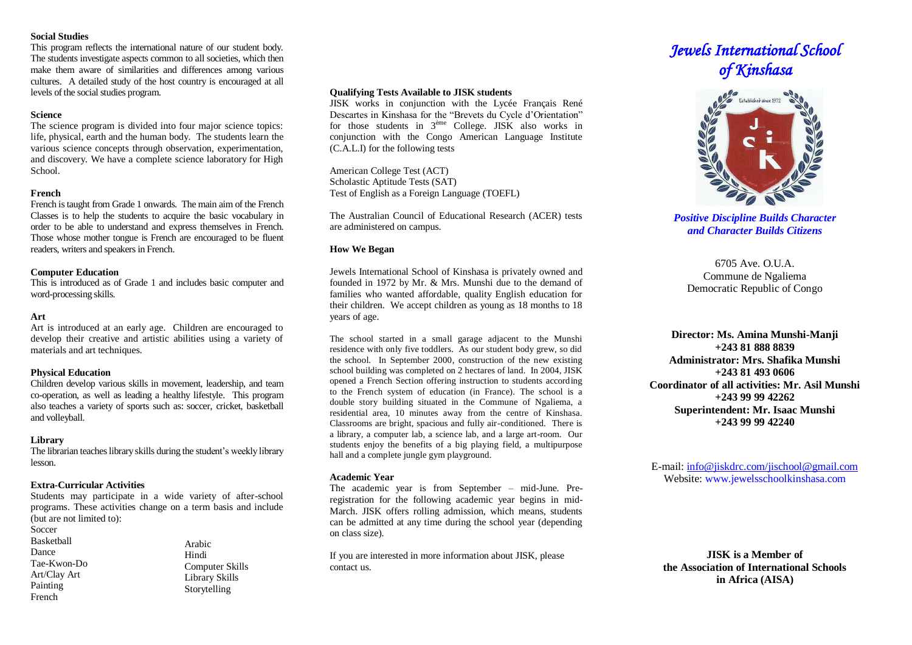## **Social Studies**

This program reflects the international nature of our student body. The students investigate aspects common to all societies, which then make them aware of similarities and differences among various cultures. A detailed study of the host country is encouraged at all levels of the social studies program.

# **Science**

The science program is divided into four major science topics: life, physical, earth and the human body. The students learn the various science concepts through observation, experimentation, and discovery. We have a complete science laboratory for High School.

# **French**

French is taught from Grade 1 onwards. The main aim of the French Classes is to help the students to acquire the basic vocabulary in order to be able to understand and express themselves in French. Those whose mother tongue is French are encouraged to be fluent readers, writers and speakers in French.

# **Computer Education**

This is introduced as of Grade 1 and includes basic computer and word-processing skills.

# **Art**

Art is introduced at an early age. Children are encouraged to develop their creative and artistic abilities using a variety of materials and art techniques.

# **Physical Education**

Children develop various skills in movement, leadership, and team co-operation, as well as leading a healthy lifestyle. This program also teaches a variety of sports such as: soccer, cricket, basketball and volleyball.

# **Library**

The librarian teaches library skills during the student's weekly library lesson.

# **Extra-Curricular Activities**

Students may participate in a wide variety of after-school programs. These activities change on a term basis and include (but are not limited to):

**Soccer** Basketball

Dance Tae-Kwon-Do Art/Clay Art Painting French

Arabic Hindi Computer Skills Library Skills Storytelling

# **Qualifying Tests Available to JISK students**

JISK works in conjunction with the Lycée Français René Descartes in Kinshasa for the "Brevets du Cycle d'Orientation" for those students in 3ème College. JISK also works in conjunction with the Congo American Language Institute (C.A.L.I) for the following tests

American College Test (ACT) Scholastic Aptitude Tests (SAT) Test of English as a Foreign Language (TOEFL)

The Australian Council of Educational Research (ACER) tests are administered on campus.

# **How We Began**

Jewels International School of Kinshasa is privately owned and founded in 1972 by Mr. & Mrs. Munshi due to the demand of families who wanted affordable, quality English education for their children. We accept children as young as 18 months to 18 years of age.

The school started in a small garage adjacent to the Munshi residence with only five toddlers. As our student body grew, so did the school. In September 2000, construction of the new existing school building was completed on 2 hectares of land. In 2004, JISK opened a French Section offering instruction to students according to the French system of education (in France). The school is a double story building situated in the Commune of Ngaliema, a residential area, 10 minutes away from the centre of Kinshasa. Classrooms are bright, spacious and fully air-conditioned. There is a library, a computer lab, a science lab, and a large art-room. Our students enjoy the benefits of a big playing field, a multipurpose hall and a complete jungle gym playground.

## **Academic Year**

The academic year is from September – mid-June. Preregistration for the following academic year begins in mid-March. JISK offers rolling admission, which means, students can be admitted at any time during the school year (depending on class size).

If you are interested in more information about JISK, please contact us.

# *Jewels International School of Kinshasa*



*Positive Discipline Builds Character and Character Builds Citizens* 

 $6705$  Ave. O U.A. Commune de Ngaliema Democratic Republic of Congo

**Director: Ms. Amina Munshi-Manji +243 81 888 8839 Administrator: Mrs. Shafika Munshi +243 81 493 0606 Coordinator of all activities: Mr. Asil Munshi +243 99 99 42262 Superintendent: Mr. Isaac Munshi +243 99 99 42240**

E-mail: [info@jiskdrc.com/jischool@gmail.com](mailto:info@jiskdrc.com/jischool@gmail.com) Website: [www.jewelsschoolkinshasa.com](http://www.jewelsschool.cd/)

**JISK is a Member of the Association of International Schools in Africa (AISA)**